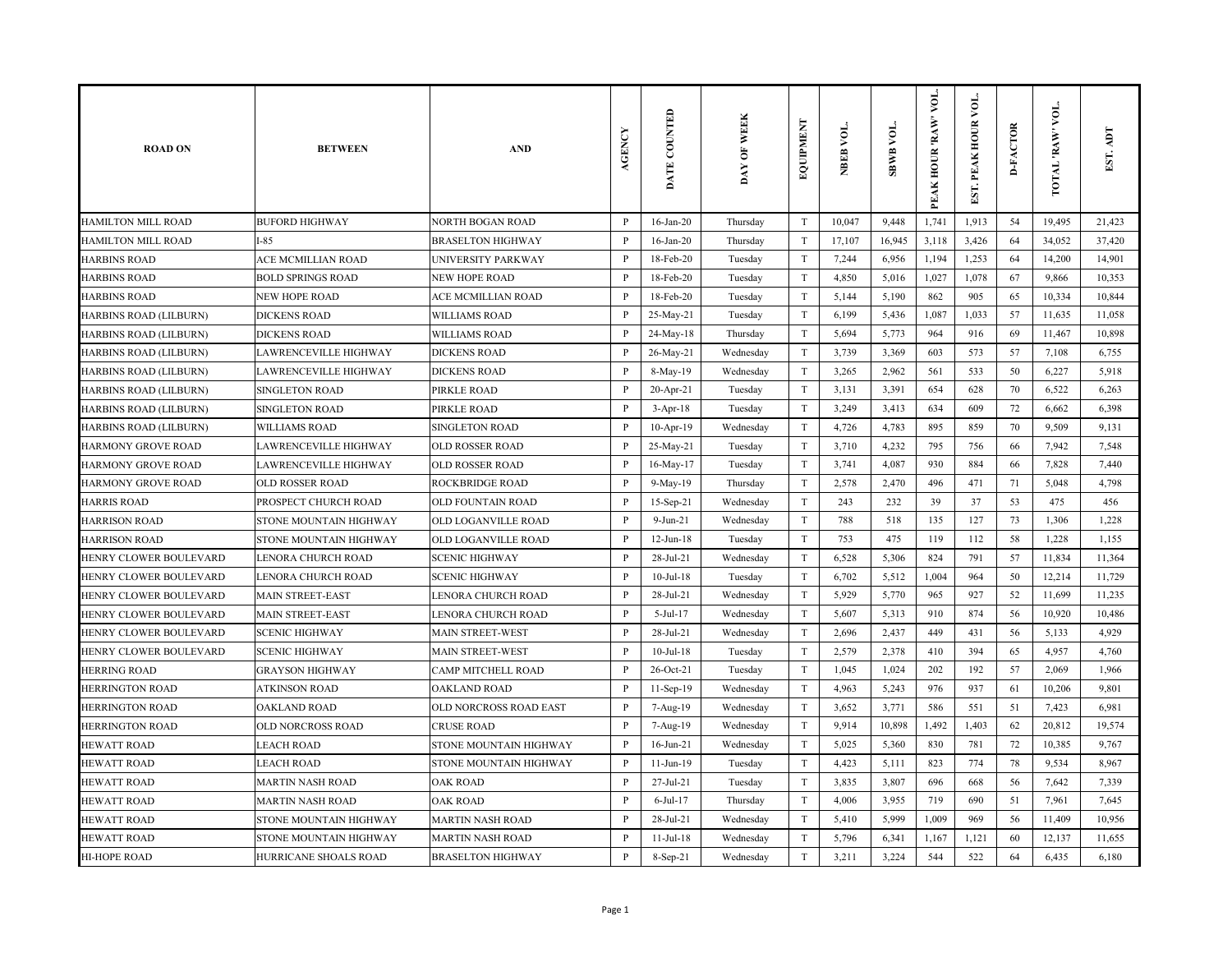| <b>ROAD ON</b>                | <b>BETWEEN</b>           | <b>AND</b>               | AGENCY       | DATE COUNTED    | <b>OF WEEK</b><br>DAY | EQUIPMENT                 | NBEB VOL. | SBWB VOL. | VOL.<br>PEAK HOUR 'RAW' | EST. PEAK HOUR VOI | <b>D-FACTOR</b> | <b>TOTAL RAW VOL.</b> | EST.   |
|-------------------------------|--------------------------|--------------------------|--------------|-----------------|-----------------------|---------------------------|-----------|-----------|-------------------------|--------------------|-----------------|-----------------------|--------|
| <b>HAMILTON MILL ROAD</b>     | <b>BUFORD HIGHWAY</b>    | <b>NORTH BOGAN ROAD</b>  | P            | $16$ -Jan-20    | Thursday              | T                         | 10,047    | 9,448     | 1,741                   | 1,913              | 54              | 19,495                | 21,423 |
| HAMILTON MILL ROAD            | $I-85$                   | <b>BRASELTON HIGHWAY</b> | $\mathbf{P}$ | $16$ -Jan-20    | Thursday              | $\ensuremath{\mathrm{T}}$ | 17,107    | 16,945    | 3,118                   | 3,426              | 64              | 34,052                | 37,420 |
| <b>HARBINS ROAD</b>           | ACE MCMILLIAN ROAD       | UNIVERSITY PARKWAY       | P            | 18-Feb-20       | Tuesday               | T                         | 7,244     | 6,956     | 1,194                   | 1,253              | 64              | 14,200                | 14,901 |
| <b>HARBINS ROAD</b>           | <b>BOLD SPRINGS ROAD</b> | NEW HOPE ROAD            | $\mathbf{P}$ | 18-Feb-20       | Tuesday               | T                         | 4,850     | 5,016     | 1,027                   | 1,078              | 67              | 9,866                 | 10,353 |
| <b>HARBINS ROAD</b>           | <b>NEW HOPE ROAD</b>     | ACE MCMILLIAN ROAD       | $\mathbf{P}$ | 18-Feb-20       | Tuesday               | T                         | 5,144     | 5,190     | 862                     | 905                | 65              | 10,334                | 10,844 |
| HARBINS ROAD (LILBURN)        | <b>DICKENS ROAD</b>      | <b>WILLIAMS ROAD</b>     | $\, {\bf P}$ | 25-May-21       | Tuesday               | T                         | 6,199     | 5,436     | 1,087                   | 1,033              | 57              | 11,635                | 11,058 |
| HARBINS ROAD (LILBURN)        | <b>DICKENS ROAD</b>      | <b>WILLIAMS ROAD</b>     | $\mathbf{P}$ | 24-May-18       | Thursday              | T                         | 5,694     | 5,773     | 964                     | 916                | 69              | 11,467                | 10,898 |
| HARBINS ROAD (LILBURN)        | LAWRENCEVILLE HIGHWAY    | <b>DICKENS ROAD</b>      | $\, {\bf P}$ | 26-May-21       | Wednesday             | T                         | 3,739     | 3,369     | 603                     | 573                | 57              | 7,108                 | 6,755  |
| HARBINS ROAD (LILBURN)        | LAWRENCEVILLE HIGHWAY    | <b>DICKENS ROAD</b>      | $\mathbf{P}$ | 8-May-19        | Wednesday             | T                         | 3,265     | 2,962     | 561                     | 533                | 50              | 6,227                 | 5,918  |
| HARBINS ROAD (LILBURN)        | <b>SINGLETON ROAD</b>    | PIRKLE ROAD              | $\mathbf{P}$ | 20-Apr-21       | Tuesday               | $\mathbf T$               | 3,131     | 3,391     | 654                     | 628                | 70              | 6,522                 | 6,263  |
| HARBINS ROAD (LILBURN)        | SINGLETON ROAD           | PIRKLE ROAD              | P            | $3-Apr-18$      | Tuesday               | T                         | 3,249     | 3,413     | 634                     | 609                | 72              | 6,662                 | 6,398  |
| <b>HARBINS ROAD (LILBURN)</b> | <b>WILLIAMS ROAD</b>     | SINGLETON ROAD           | $\, {\bf P}$ | $10-Apr-19$     | Wednesday             | $\ensuremath{\mathrm{T}}$ | 4,726     | 4,783     | 895                     | 859                | 70              | 9,509                 | 9,131  |
| <b>HARMONY GROVE ROAD</b>     | LAWRENCEVILLE HIGHWAY    | <b>OLD ROSSER ROAD</b>   | P            | 25-May-21       | Tuesday               | $\ensuremath{\mathrm{T}}$ | 3,710     | 4,232     | 795                     | 756                | 66              | 7,942                 | 7,548  |
| <b>HARMONY GROVE ROAD</b>     | LAWRENCEVILLE HIGHWAY    | <b>OLD ROSSER ROAD</b>   | $\mathbf{P}$ | $16$ -May-17    | Tuesday               | $\ensuremath{\mathrm{T}}$ | 3,741     | 4,087     | 930                     | 884                | 66              | 7,828                 | 7,440  |
| <b>HARMONY GROVE ROAD</b>     | <b>OLD ROSSER ROAD</b>   | <b>ROCKBRIDGE ROAD</b>   | $\, {\bf P}$ | 9-May-19        | Thursday              | T                         | 2,578     | 2,470     | 496                     | 471                | 71              | 5,048                 | 4,798  |
| <b>HARRIS ROAD</b>            | PROSPECT CHURCH ROAD     | OLD FOUNTAIN ROAD        | $\mathbf{P}$ | 15-Sep-21       | Wednesday             | T                         | 243       | 232       | 39                      | 37                 | 53              | 475                   | 456    |
| <b>HARRISON ROAD</b>          | STONE MOUNTAIN HIGHWAY   | OLD LOGANVILLE ROAD      | $\, {\bf P}$ | $9-Jun-21$      | Wednesday             | T                         | 788       | 518       | 135                     | 127                | 73              | 1,306                 | 1,228  |
| <b>HARRISON ROAD</b>          | STONE MOUNTAIN HIGHWAY   | OLD LOGANVILLE ROAD      | $\mathbf{P}$ | $12-Jun-18$     | Tuesday               | T                         | 753       | 475       | 119                     | 112                | 58              | 1,228                 | 1,155  |
| HENRY CLOWER BOULEVARD        | LENORA CHURCH ROAD       | <b>SCENIC HIGHWAY</b>    | $\mathbf{P}$ | 28-Jul-21       | Wednesday             | T                         | 6,528     | 5,306     | 824                     | 791                | 57              | 11,834                | 11,364 |
| HENRY CLOWER BOULEVARD        | LENORA CHURCH ROAD       | <b>SCENIC HIGHWAY</b>    | $\mathbf{P}$ | $10$ -Jul- $18$ | Tuesday               | T                         | 6,702     | 5,512     | 1,004                   | 964                | 50              | 12,214                | 11,729 |
| HENRY CLOWER BOULEVARD        | MAIN STREET-EAST         | LENORA CHURCH ROAD       | $\, {\bf P}$ | 28-Jul-21       | Wednesday             | $\ensuremath{\mathrm{T}}$ | 5,929     | 5,770     | 965                     | 927                | 52              | 11,699                | 11,235 |
| HENRY CLOWER BOULEVARD        | <b>MAIN STREET-EAST</b>  | LENORA CHURCH ROAD       | $\mathbf{P}$ | 5-Jul-17        | Wednesday             | T                         | 5,607     | 5,313     | 910                     | 874                | 56              | 10,920                | 10,486 |
| HENRY CLOWER BOULEVARD        | <b>SCENIC HIGHWAY</b>    | <b>MAIN STREET-WEST</b>  | $\mathbf{P}$ | 28-Jul-21       | Wednesday             | T                         | 2,696     | 2,437     | 449                     | 431                | 56              | 5,133                 | 4,929  |
| HENRY CLOWER BOULEVARD        | <b>SCENIC HIGHWAY</b>    | MAIN STREET-WEST         | $\mathbf{P}$ | $10$ -Jul- $18$ | Tuesday               | T                         | 2,579     | 2,378     | 410                     | 394                | 65              | 4,957                 | 4,760  |
| <b>HERRING ROAD</b>           | <b>GRAYSON HIGHWAY</b>   | CAMP MITCHELL ROAD       | $\mathbf{P}$ | $26$ -Oct-21    | Tuesday               | T                         | 1,045     | 1,024     | 202                     | 192                | 57              | 2,069                 | 1,966  |
| <b>HERRINGTON ROAD</b>        | <b>ATKINSON ROAD</b>     | OAKLAND ROAD             | $\mathbf{P}$ | 11-Sep-19       | Wednesday             | T                         | 4,963     | 5,243     | 976                     | 937                | 61              | 10,206                | 9,801  |
| <b>HERRINGTON ROAD</b>        | <b>OAKLAND ROAD</b>      | OLD NORCROSS ROAD EAST   | $\mathbf{P}$ | 7-Aug-19        | Wednesday             | $\ensuremath{\mathrm{T}}$ | 3,652     | 3,771     | 586                     | 551                | 51              | 7,423                 | 6,981  |
| <b>HERRINGTON ROAD</b>        | OLD NORCROSS ROAD        | <b>CRUSE ROAD</b>        | $\, {\bf P}$ | 7-Aug-19        | Wednesday             | $\ensuremath{\mathrm{T}}$ | 9,914     | 10,898    | 1,492                   | 1,403              | 62              | 20,812                | 19,574 |
| <b>HEWATT ROAD</b>            | <b>LEACH ROAD</b>        | STONE MOUNTAIN HIGHWAY   | P            | $16$ -Jun-21    | Wednesday             | T                         | 5,025     | 5,360     | 830                     | 781                | 72              | 10,385                | 9,767  |
| <b>HEWATT ROAD</b>            | LEACH ROAD               | STONE MOUNTAIN HIGHWAY   | $\, {\bf P}$ | $11 - Jun-19$   | Tuesday               | $\ensuremath{\mathrm{T}}$ | 4,423     | 5,111     | 823                     | 774                | 78              | 9,534                 | 8,967  |
| <b>HEWATT ROAD</b>            | <b>MARTIN NASH ROAD</b>  | <b>OAK ROAD</b>          | $\mathbf{P}$ | 27-Jul-21       | Tuesday               | $\ensuremath{\mathrm{T}}$ | 3,835     | 3,807     | 696                     | 668                | 56              | 7,642                 | 7,339  |
| <b>HEWATT ROAD</b>            | <b>MARTIN NASH ROAD</b>  | <b>OAK ROAD</b>          | $\, {\bf p}$ | $6$ -Jul-17     | Thursday              | $\ensuremath{\mathrm{T}}$ | 4,006     | 3,955     | 719                     | 690                | 51              | 7,961                 | 7,645  |
| <b>HEWATT ROAD</b>            | STONE MOUNTAIN HIGHWAY   | <b>MARTIN NASH ROAD</b>  | $\mathbf{P}$ | 28-Jul-21       | Wednesday             | T                         | 5,410     | 5,999     | 1,009                   | 969                | 56              | 11,409                | 10,956 |
| <b>HEWATT ROAD</b>            | STONE MOUNTAIN HIGHWAY   | <b>MARTIN NASH ROAD</b>  | $\mathbf{P}$ | $11-Jul-18$     | Wednesday             | T                         | 5,796     | 6,341     | 1,167                   | 1,121              | 60              | 12,137                | 11,655 |
| HI-HOPE ROAD                  | HURRICANE SHOALS ROAD    | <b>BRASELTON HIGHWAY</b> | $\mathbf{P}$ | $8-Sep-21$      | Wednesday             | T                         | 3,211     | 3,224     | 544                     | 522                | 64              | 6,435                 | 6,180  |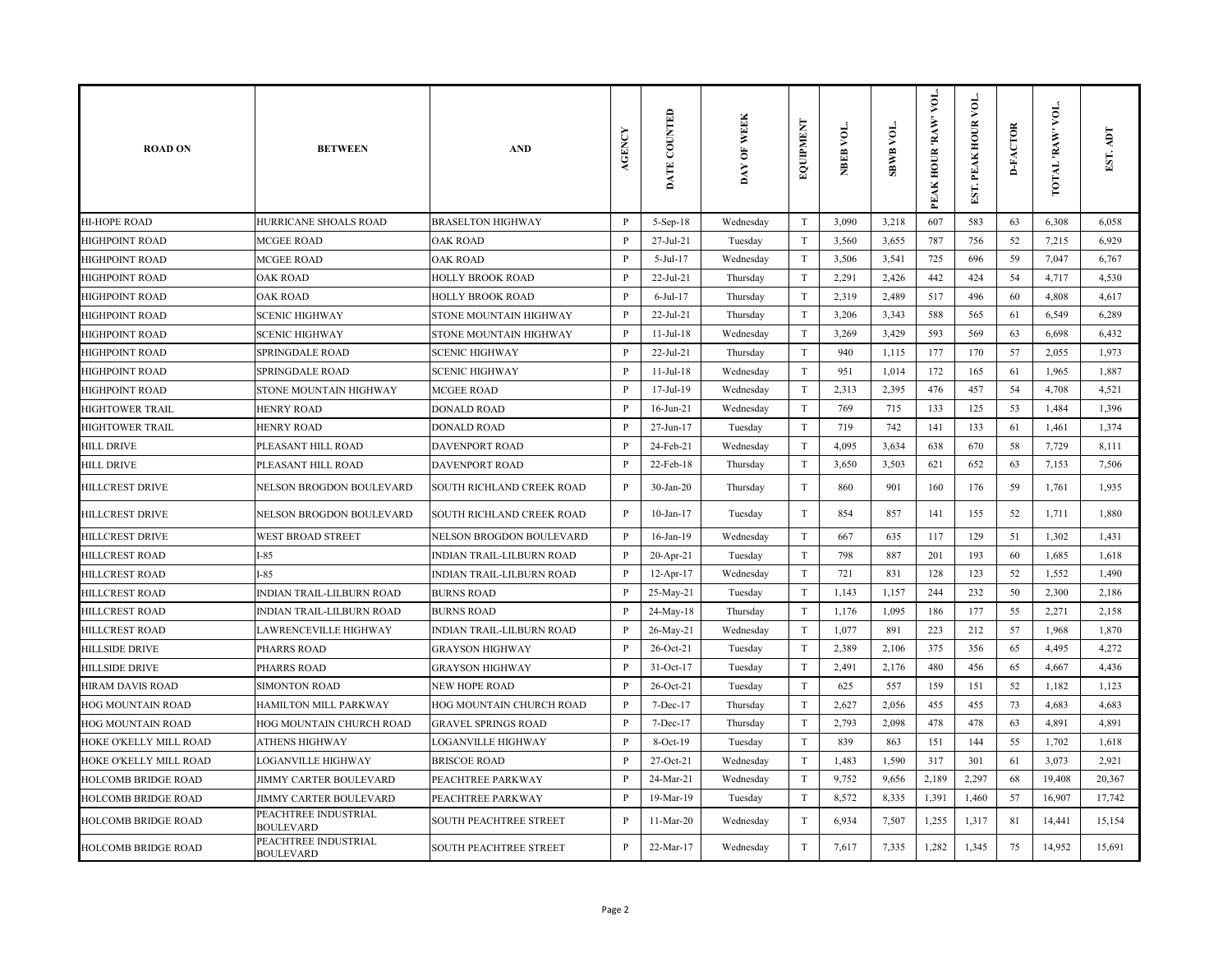| <b>ROAD ON</b>                | <b>BETWEEN</b>                           | <b>AND</b>                       | <b>AGENCY</b> | DATE COUNTED    | DAY OF WEEK | EQUIPMENT                 | NBEB VOL. | VOL.<br><b>SBWB</b> | VOL.<br>PEAK HOUR 'RAW' | $\sum_{i=1}^{n}$<br>EST. PEAK HOUR | <b>D-FACTOR</b> | VOL.<br>TOTAL 'RAW' | EST. ADT |
|-------------------------------|------------------------------------------|----------------------------------|---------------|-----------------|-------------|---------------------------|-----------|---------------------|-------------------------|------------------------------------|-----------------|---------------------|----------|
| <b>HI-HOPE ROAD</b>           | HURRICANE SHOALS ROAD                    | <b>BRASELTON HIGHWAY</b>         | $\, {\bf P}$  | $5-Sep-18$      | Wednesday   | T                         | 3,090     | 3,218               | 607                     | 583                                | 63              | 6,308               | 6,058    |
| <b>HIGHPOINT ROAD</b>         | <b>MCGEE ROAD</b>                        | <b>OAK ROAD</b>                  | P             | 27-Jul-21       | Tuesday     | T                         | 3,560     | 3,655               | 787                     | 756                                | 52              | 7,215               | 6,929    |
| <b>HIGHPOINT ROAD</b>         | <b>MCGEE ROAD</b>                        | <b>OAK ROAD</b>                  | P             | $5-Jul-17$      | Wednesday   | T                         | 3,506     | 3,541               | 725                     | 696                                | 59              | 7,047               | 6,767    |
| <b>HIGHPOINT ROAD</b>         | <b>OAK ROAD</b>                          | HOLLY BROOK ROAD                 | P             | 22-Jul-21       | Thursday    | T                         | 2,291     | 2,426               | 442                     | 424                                | 54              | 4,717               | 4,530    |
| <b>HIGHPOINT ROAD</b>         | <b>OAK ROAD</b>                          | HOLLY BROOK ROAD                 | $\mathbf{P}$  | $6$ -Jul-17     | Thursday    | T                         | 2,319     | 2,489               | 517                     | 496                                | 60              | 4,808               | 4,617    |
| <b>HIGHPOINT ROAD</b>         | <b>SCENIC HIGHWAY</b>                    | STONE MOUNTAIN HIGHWAY           | P             | 22-Jul-21       | Thursday    | T                         | 3,206     | 3,343               | 588                     | 565                                | 61              | 6,549               | 6,289    |
| HIGHPOINT ROAD                | <b>SCENIC HIGHWAY</b>                    | STONE MOUNTAIN HIGHWAY           | $\mathbf{P}$  | $11$ -Jul- $18$ | Wednesday   | T                         | 3,269     | 3,429               | 593                     | 569                                | 63              | 6,698               | 6,432    |
| <b>HIGHPOINT ROAD</b>         | SPRINGDALE ROAD                          | <b>SCENIC HIGHWAY</b>            | P             | $22$ -Jul-21    | Thursday    | $\ensuremath{\mathrm{T}}$ | 940       | 1,115               | 177                     | 170                                | 57              | 2,055               | 1,973    |
| <b>HIGHPOINT ROAD</b>         | <b>SPRINGDALE ROAD</b>                   | <b>SCENIC HIGHWAY</b>            | P             | $11-Jul-18$     | Wednesday   | T                         | 951       | 1,014               | 172                     | 165                                | 61              | 1,965               | 1,887    |
| <b>HIGHPOINT ROAD</b>         | STONE MOUNTAIN HIGHWAY                   | <b>MCGEE ROAD</b>                | $\, {\bf P}$  | 17-Jul-19       | Wednesday   | T                         | 2,313     | 2,395               | 476                     | 457                                | 54              | 4,708               | 4,521    |
| <b>HIGHTOWER TRAIL</b>        | <b>HENRY ROAD</b>                        | <b>DONALD ROAD</b>               | P             | $16$ -Jun-21    | Wednesday   | T                         | 769       | 715                 | 133                     | 125                                | 53              | 1,484               | 1,396    |
| <b>HIGHTOWER TRAIL</b>        | <b>HENRY ROAD</b>                        | <b>DONALD ROAD</b>               | P             | 27-Jun-17       | Tuesday     | $\rm T$                   | 719       | 742                 | 141                     | 133                                | 61              | 1,461               | 1,374    |
| <b>HILL DRIVE</b>             | PLEASANT HILL ROAD                       | DAVENPORT ROAD                   | $\mathbf{P}$  | 24-Feb-21       | Wednesday   | $\rm T$                   | 4,095     | 3,634               | 638                     | 670                                | 58              | 7,729               | 8,111    |
| <b>HILL DRIVE</b>             | PLEASANT HILL ROAD                       | <b>DAVENPORT ROAD</b>            | P             | 22-Feb-18       | Thursday    | T                         | 3,650     | 3,503               | 621                     | 652                                | 63              | 7,153               | 7,506    |
| <b>HILLCREST DRIVE</b>        | NELSON BROGDON BOULEVARD                 | SOUTH RICHLAND CREEK ROAD        | $\mathbf{P}$  | $30-Ian-20$     | Thursday    | T                         | 860       | 901                 | 160                     | 176                                | 59              | 1,761               | 1,935    |
| <b>HILLCREST DRIVE</b>        | NELSON BROGDON BOULEVARD                 | SOUTH RICHLAND CREEK ROAD        | $\, {\bf P}$  | $10$ -Jan- $17$ | Tuesday     | $\ensuremath{\mathrm{T}}$ | 854       | 857                 | 141                     | 155                                | 52              | 1,711               | 1,880    |
| <b>HILLCREST DRIVE</b>        | <b>WEST BROAD STREET</b>                 | NELSON BROGDON BOULEVARD         | $\, {\bf P}$  | 16-Jan-19       | Wednesday   | $\ensuremath{\mathrm{T}}$ | 667       | 635                 | 117                     | 129                                | 51              | 1,302               | 1,431    |
| <b>HILLCREST ROAD</b>         | $I-85$                                   | <b>INDIAN TRAIL-LILBURN ROAD</b> | $\mathbf{P}$  | 20-Apr-21       | Tuesday     | T                         | 798       | 887                 | 201                     | 193                                | 60              | 1,685               | 1,618    |
| <b>HILLCREST ROAD</b>         | $I-85$                                   | <b>INDIAN TRAIL-LILBURN ROAD</b> | $\mathbf{P}$  | 12-Apr-17       | Wednesday   | T                         | 721       | 831                 | 128                     | 123                                | 52              | 1,552               | 1,490    |
| <b>HILLCREST ROAD</b>         | INDIAN TRAIL-LILBURN ROAD                | <b>BURNS ROAD</b>                | P             | 25-May-21       | Tuesday     | T                         | 1,143     | 1,157               | 244                     | 232                                | 50              | 2,300               | 2,186    |
| <b>HILLCREST ROAD</b>         | INDIAN TRAIL-LILBURN ROAD                | <b>BURNS ROAD</b>                | P             | 24-May-18       | Thursday    | $\rm T$                   | 1,176     | 1,095               | 186                     | 177                                | 55              | 2,271               | 2,158    |
| <b>HILLCREST ROAD</b>         | LAWRENCEVILLE HIGHWAY                    | INDIAN TRAIL-LILBURN ROAD        | $\, {\bf P}$  | 26-May-21       | Wednesday   | T                         | 1,077     | 891                 | 223                     | 212                                | 57              | 1,968               | 1,870    |
| <b>HILLSIDE DRIVE</b>         | PHARRS ROAD                              | <b>GRAYSON HIGHWAY</b>           | P             | 26-Oct-21       | Tuesday     | T                         | 2,389     | 2,106               | 375                     | 356                                | 65              | 4,495               | 4,272    |
| <b>HILLSIDE DRIVE</b>         | PHARRS ROAD                              | <b>GRAYSON HIGHWAY</b>           | P             | $31-Oct-17$     | Tuesday     | T                         | 2,491     | 2,176               | 480                     | 456                                | 65              | 4,667               | 4,436    |
| <b>HIRAM DAVIS ROAD</b>       | <b>SIMONTON ROAD</b>                     | NEW HOPE ROAD                    | $\mathbf{P}$  | 26-Oct-21       | Tuesday     | $\ensuremath{\mathrm{T}}$ | 625       | 557                 | 159                     | 151                                | 52              | 1,182               | 1,123    |
| <b>HOG MOUNTAIN ROAD</b>      | HAMILTON MILL PARKWAY                    | HOG MOUNTAIN CHURCH ROAD         | P             | 7-Dec-17        | Thursday    | T                         | 2,627     | 2,056               | 455                     | 455                                | 73              | 4,683               | 4,683    |
| <b>HOG MOUNTAIN ROAD</b>      | <b>HOG MOUNTAIN CHURCH ROAD</b>          | <b>GRAVEL SPRINGS ROAD</b>       | $\mathbf{P}$  | $7 - Dec-17$    | Thursday    | $\rm T$                   | 2,793     | 2,098               | 478                     | 478                                | 63              | 4,891               | 4,891    |
| HOKE O'KELLY MILL ROAD        | <b>ATHENS HIGHWAY</b>                    | <b>LOGANVILLE HIGHWAY</b>        | $\mathbf{P}$  | 8-Oct-19        | Tuesday     | $\ensuremath{\mathrm{T}}$ | 839       | 863                 | 151                     | 144                                | 55              | 1,702               | 1,618    |
| <b>HOKE O'KELLY MILL ROAD</b> | <b>LOGANVILLE HIGHWAY</b>                | <b>BRISCOE ROAD</b>              | P             | 27-Oct-21       | Wednesday   | T                         | 1,483     | 1,590               | 317                     | 301                                | 61              | 3,073               | 2,921    |
| <b>HOLCOMB BRIDGE ROAD</b>    | JIMMY CARTER BOULEVARD                   | PEACHTREE PARKWAY                | $\mathbf{P}$  | 24-Mar-21       | Wednesday   | $\rm T$                   | 9,752     | 9,656               | 2,189                   | 2,297                              | 68              | 19,408              | 20,367   |
| <b>HOLCOMB BRIDGE ROAD</b>    | JIMMY CARTER BOULEVARD                   | PEACHTREE PARKWAY                | P             | 19-Mar-19       | Tuesday     | T                         | 8,572     | 8,335               | 1,391                   | 1,460                              | 57              | 16,907              | 17,742   |
| <b>HOLCOMB BRIDGE ROAD</b>    | PEACHTREE INDUSTRIAL<br><b>BOULEVARD</b> | SOUTH PEACHTREE STREET           | $\mathbf{P}$  | $11-Mar-20$     | Wednesday   | T                         | 6,934     | 7,507               | 1,255                   | 1,317                              | 81              | 14,441              | 15,154   |
| <b>HOLCOMB BRIDGE ROAD</b>    | PEACHTREE INDUSTRIAL<br><b>BOULEVARD</b> | SOUTH PEACHTREE STREET           | $\mathbf{P}$  | 22-Mar-17       | Wednesday   | $\ensuremath{\mathrm{T}}$ | 7,617     | 7,335               | 1,282                   | 1,345                              | 75              | 14,952              | 15,691   |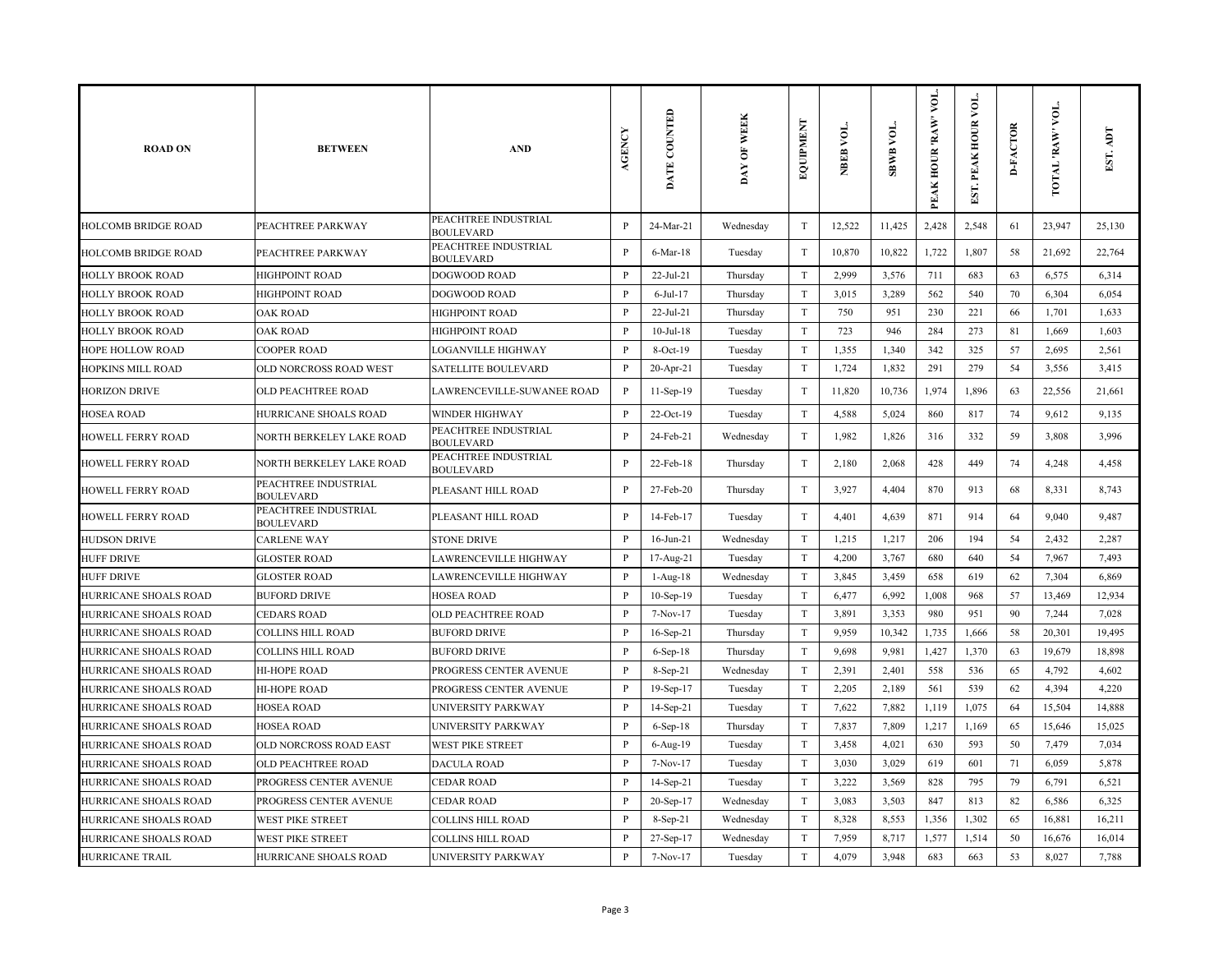| <b>ROAD ON</b>               | <b>BETWEEN</b>                           | <b>AND</b>                               | <b>AGENCY</b> | DATE COUNTED    | DAY OF WEEK | EQUIPMENT                 | NBEB VOL. | <b>TOA BABS</b> | VOL.<br>PEAK HOUR 'RAW' | ð<br>PEAK HOUR<br>EST. | <b>D-FACTOR</b> | VOL.<br><b>TOTAL 'RAW'</b> | Idy<br>EST. |
|------------------------------|------------------------------------------|------------------------------------------|---------------|-----------------|-------------|---------------------------|-----------|-----------------|-------------------------|------------------------|-----------------|----------------------------|-------------|
| <b>HOLCOMB BRIDGE ROAD</b>   | PEACHTREE PARKWAY                        | PEACHTREE INDUSTRIAL<br><b>BOULEVARD</b> | P             | 24-Mar-21       | Wednesday   | T                         | 12,522    | 11,425          | 2,428                   | 2,548                  | 61              | 23,947                     | 25,130      |
| <b>HOLCOMB BRIDGE ROAD</b>   | PEACHTREE PARKWAY                        | PEACHTREE INDUSTRIAL<br><b>BOULEVARD</b> | P             | $6$ -Mar-18     | Tuesday     | $\ensuremath{\mathrm{T}}$ | 10,870    | 10,822          | 1,722                   | 1,807                  | 58              | 21,692                     | 22,764      |
| <b>HOLLY BROOK ROAD</b>      | <b>HIGHPOINT ROAD</b>                    | DOGWOOD ROAD                             | $\mathbf{P}$  | 22-Jul-21       | Thursday    | $\rm T$                   | 2,999     | 3,576           | 711                     | 683                    | 63              | 6,575                      | 6,314       |
| <b>HOLLY BROOK ROAD</b>      | <b>HIGHPOINT ROAD</b>                    | DOGWOOD ROAD                             | $\mathbf{P}$  | $6$ -Jul-17     | Thursday    | T                         | 3,015     | 3,289           | 562                     | 540                    | 70              | 6,304                      | 6,054       |
| <b>HOLLY BROOK ROAD</b>      | OAK ROAD                                 | <b>HIGHPOINT ROAD</b>                    | $\mathbf{P}$  | $22$ -Jul-21    | Thursday    | $\mathbf T$               | 750       | 951             | 230                     | 221                    | 66              | 1,701                      | 1,633       |
| <b>HOLLY BROOK ROAD</b>      | <b>OAK ROAD</b>                          | <b>HIGHPOINT ROAD</b>                    | P             | $10$ -Jul- $18$ | Tuesday     | $\mathbf T$               | 723       | 946             | 284                     | 273                    | 81              | 1,669                      | 1,603       |
| <b>HOPE HOLLOW ROAD</b>      | <b>COOPER ROAD</b>                       | <b>LOGANVILLE HIGHWAY</b>                | $\mathbf{P}$  | $8-Oct-19$      | Tuesday     | $\mathbf T$               | 1,355     | 1,340           | 342                     | 325                    | 57              | 2,695                      | 2,561       |
| <b>HOPKINS MILL ROAD</b>     | OLD NORCROSS ROAD WEST                   | <b>SATELLITE BOULEVARD</b>               | $\mathbf{P}$  | 20-Apr-21       | Tuesday     | $\rm T$                   | 1,724     | 1,832           | 291                     | 279                    | 54              | 3,556                      | 3,415       |
| <b>HORIZON DRIVE</b>         | OLD PEACHTREE ROAD                       | LAWRENCEVILLE-SUWANEE ROAD               | $\mathbf{P}$  | $11-Sep-19$     | Tuesday     | $\mathbf T$               | 11,820    | 10,736          | 1,974                   | 1,896                  | 63              | 22,556                     | 21,661      |
| <b>HOSEA ROAD</b>            | HURRICANE SHOALS ROAD                    | <b>WINDER HIGHWAY</b>                    | $\mathbf{P}$  | 22-Oct-19       | Tuesday     | T                         | 4,588     | 5,024           | 860                     | 817                    | 74              | 9,612                      | 9,135       |
| <b>HOWELL FERRY ROAD</b>     | NORTH BERKELEY LAKE ROAD                 | PEACHTREE INDUSTRIAL<br><b>BOULEVARD</b> | P             | 24-Feb-21       | Wednesday   | $\rm T$                   | 1,982     | 1,826           | 316                     | 332                    | 59              | 3,808                      | 3,996       |
| <b>HOWELL FERRY ROAD</b>     | NORTH BERKELEY LAKE ROAD                 | PEACHTREE INDUSTRIAL<br><b>BOULEVARD</b> | $\mathbf{P}$  | 22-Feb-18       | Thursday    | $\mathbf T$               | 2,180     | 2,068           | 428                     | 449                    | 74              | 4,248                      | 4,458       |
| <b>HOWELL FERRY ROAD</b>     | PEACHTREE INDUSTRIAL<br><b>BOULEVARD</b> | PLEASANT HILL ROAD                       | P             | 27-Feb-20       | Thursday    | $\mathbf T$               | 3,927     | 4,404           | 870                     | 913                    | 68              | 8,331                      | 8,743       |
| <b>HOWELL FERRY ROAD</b>     | PEACHTREE INDUSTRIAL<br><b>BOULEVARD</b> | PLEASANT HILL ROAD                       | $\mathbf{P}$  | 14-Feb-17       | Tuesday     | $\mathbf T$               | 4,401     | 4,639           | 871                     | 914                    | 64              | 9,040                      | 9,487       |
| <b>HUDSON DRIVE</b>          | <b>CARLENE WAY</b>                       | <b>STONE DRIVE</b>                       | $\mathbf{P}$  | $16$ -Jun-21    | Wednesday   | $\ensuremath{\mathrm{T}}$ | 1,215     | 1,217           | 206                     | 194                    | 54              | 2,432                      | 2,287       |
| <b>HUFF DRIVE</b>            | <b>GLOSTER ROAD</b>                      | <b>LAWRENCEVILLE HIGHWAY</b>             | $\mathbf{P}$  | 17-Aug-21       | Tuesday     | $\mathbf T$               | 4,200     | 3,767           | 680                     | 640                    | 54              | 7,967                      | 7,493       |
| <b>HUFF DRIVE</b>            | <b>GLOSTER ROAD</b>                      | <b>LAWRENCEVILLE HIGHWAY</b>             | $\mathbf{P}$  | $1-Aug-18$      | Wednesday   | $\ensuremath{\mathrm{T}}$ | 3,845     | 3,459           | 658                     | 619                    | 62              | 7,304                      | 6,869       |
| <b>HURRICANE SHOALS ROAD</b> | <b>BUFORD DRIVE</b>                      | <b>HOSEA ROAD</b>                        | P             | 10-Sep-19       | Tuesday     | $\rm T$                   | 6,477     | 6,992           | 1,008                   | 968                    | 57              | 13,469                     | 12,934      |
| HURRICANE SHOALS ROAD        | <b>CEDARS ROAD</b>                       | <b>OLD PEACHTREE ROAD</b>                | P             | 7-Nov-17        | Tuesday     | $\rm T$                   | 3,891     | 3,353           | 980                     | 951                    | 90              | 7,244                      | 7,028       |
| HURRICANE SHOALS ROAD        | <b>COLLINS HILL ROAD</b>                 | <b>BUFORD DRIVE</b>                      | $\mathbf{P}$  | 16-Sep-21       | Thursday    | $\rm T$                   | 9,959     | 10,342          | 1,735                   | 1,666                  | 58              | 20,301                     | 19,495      |
| HURRICANE SHOALS ROAD        | <b>COLLINS HILL ROAD</b>                 | <b>BUFORD DRIVE</b>                      | $\, {\bf P}$  | $6-Sep-18$      | Thursday    | $\mathbf T$               | 9,698     | 9,981           | 1,427                   | 1,370                  | 63              | 19,679                     | 18,898      |
| HURRICANE SHOALS ROAD        | HI-HOPE ROAD                             | PROGRESS CENTER AVENUE                   | $\, {\bf P}$  | 8-Sep-21        | Wednesday   | $\rm T$                   | 2,391     | 2,401           | 558                     | 536                    | 65              | 4,792                      | 4,602       |
| HURRICANE SHOALS ROAD        | HI-HOPE ROAD                             | PROGRESS CENTER AVENUE                   | P             | 19-Sep-17       | Tuesday     | $\mathbf T$               | 2,205     | 2,189           | 561                     | 539                    | 62              | 4,394                      | 4,220       |
| HURRICANE SHOALS ROAD        | <b>HOSEA ROAD</b>                        | <b>UNIVERSITY PARKWAY</b>                | $\mathbf{P}$  | 14-Sep-21       | Tuesday     | $\rm T$                   | 7,622     | 7,882           | 1,119                   | 1,075                  | 64              | 15,504                     | 14,888      |
| HURRICANE SHOALS ROAD        | <b>HOSEA ROAD</b>                        | <b>UNIVERSITY PARKWAY</b>                | $\mathbf{P}$  | $6-$ Sep $-18$  | Thursday    | $\rm T$                   | 7,837     | 7,809           | 1,217                   | 1,169                  | 65              | 15,646                     | 15,025      |
| HURRICANE SHOALS ROAD        | OLD NORCROSS ROAD EAST                   | WEST PIKE STREET                         | $\mathbf{P}$  | $6$ -Aug- $19$  | Tuesday     | $\rm T$                   | 3,458     | 4,021           | 630                     | 593                    | 50              | 7,479                      | 7,034       |
| HURRICANE SHOALS ROAD        | OLD PEACHTREE ROAD                       | <b>DACULA ROAD</b>                       | $\mathbf{P}$  | 7-Nov-17        | Tuesday     | $\rm T$                   | 3,030     | 3,029           | 619                     | 601                    | 71              | 6,059                      | 5,878       |
| HURRICANE SHOALS ROAD        | PROGRESS CENTER AVENUE                   | <b>CEDAR ROAD</b>                        | P             | 14-Sep-21       | Tuesday     | $\mathbf T$               | 3,222     | 3,569           | 828                     | 795                    | 79              | 6,791                      | 6,521       |
| HURRICANE SHOALS ROAD        | PROGRESS CENTER AVENUE                   | <b>CEDAR ROAD</b>                        | $\mathbf{P}$  | 20-Sep-17       | Wednesday   | $\rm T$                   | 3,083     | 3,503           | 847                     | 813                    | 82              | 6,586                      | 6,325       |
| HURRICANE SHOALS ROAD        | <b>WEST PIKE STREET</b>                  | <b>COLLINS HILL ROAD</b>                 | $\mathbf{P}$  | $8-Sep-21$      | Wednesday   | T                         | 8,328     | 8,553           | 1,356                   | 1,302                  | 65              | 16,881                     | 16,211      |
| <b>HURRICANE SHOALS ROAD</b> | WEST PIKE STREET                         | <b>COLLINS HILL ROAD</b>                 | $\mathbf{P}$  | 27-Sep-17       | Wednesday   | $\mathbf T$               | 7,959     | 8,717           | 1,577                   | 1,514                  | 50              | 16,676                     | 16,014      |
| <b>HURRICANE TRAIL</b>       | HURRICANE SHOALS ROAD                    | <b>UNIVERSITY PARKWAY</b>                | $\mathbf{P}$  | 7-Nov-17        | Tuesday     | $\mathbf T$               | 4,079     | 3,948           | 683                     | 663                    | 53              | 8,027                      | 7,788       |